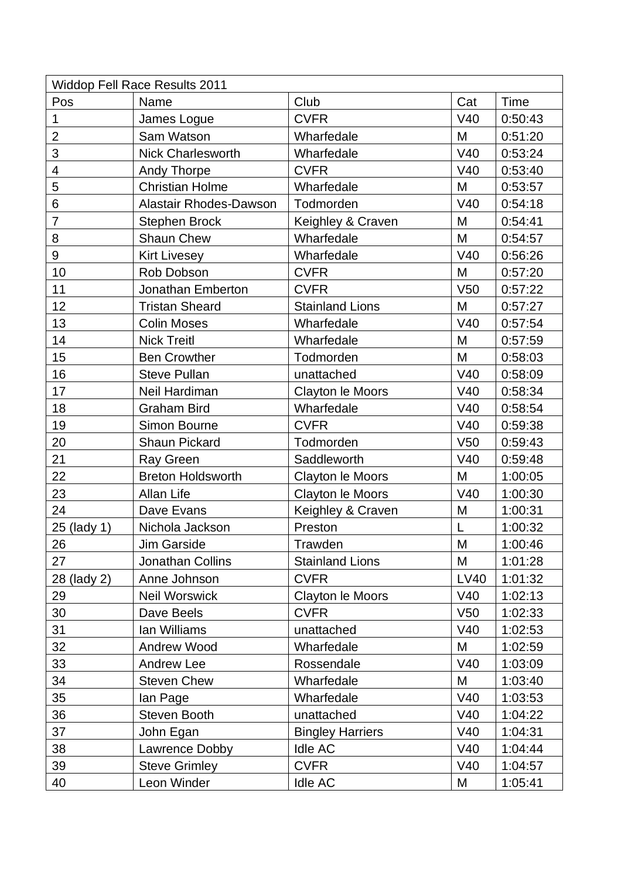| <b>Widdop Fell Race Results 2011</b> |                               |                         |                 |         |  |  |  |  |
|--------------------------------------|-------------------------------|-------------------------|-----------------|---------|--|--|--|--|
| Pos                                  | Name                          | Club                    | Cat             | Time    |  |  |  |  |
| 1                                    | James Logue                   | <b>CVFR</b>             | V40             | 0:50:43 |  |  |  |  |
| $\overline{2}$                       | Sam Watson                    | Wharfedale              | M               | 0:51:20 |  |  |  |  |
| 3                                    | <b>Nick Charlesworth</b>      | Wharfedale              | V40             | 0:53:24 |  |  |  |  |
| $\overline{4}$                       | Andy Thorpe                   | <b>CVFR</b>             | V40             | 0:53:40 |  |  |  |  |
| 5                                    | <b>Christian Holme</b>        | Wharfedale              | M               | 0:53:57 |  |  |  |  |
| 6                                    | <b>Alastair Rhodes-Dawson</b> | Todmorden               | V40             | 0:54:18 |  |  |  |  |
| $\overline{7}$                       | <b>Stephen Brock</b>          | Keighley & Craven       | M               | 0:54:41 |  |  |  |  |
| 8                                    | <b>Shaun Chew</b>             | Wharfedale              | M               | 0:54:57 |  |  |  |  |
| 9                                    | <b>Kirt Livesey</b>           | Wharfedale              | V40             | 0:56:26 |  |  |  |  |
| 10                                   | Rob Dobson                    | <b>CVFR</b>             | M               | 0:57:20 |  |  |  |  |
| 11                                   | Jonathan Emberton             | <b>CVFR</b>             | V <sub>50</sub> | 0:57:22 |  |  |  |  |
| 12                                   | <b>Tristan Sheard</b>         | <b>Stainland Lions</b>  | M               | 0:57:27 |  |  |  |  |
| 13                                   | <b>Colin Moses</b>            | Wharfedale              | V40             | 0:57:54 |  |  |  |  |
| 14                                   | <b>Nick Treitl</b>            | Wharfedale              | M               | 0:57:59 |  |  |  |  |
| 15                                   | <b>Ben Crowther</b>           | Todmorden               | M               | 0:58:03 |  |  |  |  |
| 16                                   | <b>Steve Pullan</b>           | unattached              | V40             | 0:58:09 |  |  |  |  |
| 17                                   | Neil Hardiman                 | Clayton le Moors        | V40             | 0:58:34 |  |  |  |  |
| 18                                   | <b>Graham Bird</b>            | Wharfedale              | V40             | 0:58:54 |  |  |  |  |
| 19                                   | Simon Bourne                  | <b>CVFR</b>             | V40             | 0:59:38 |  |  |  |  |
| 20                                   | <b>Shaun Pickard</b>          | Todmorden               | V <sub>50</sub> | 0:59:43 |  |  |  |  |
| 21                                   | Ray Green                     | Saddleworth             | V40             | 0:59:48 |  |  |  |  |
| 22                                   | <b>Breton Holdsworth</b>      | Clayton le Moors        | M               | 1:00:05 |  |  |  |  |
| 23                                   | Allan Life                    | Clayton le Moors        | V40             | 1:00:30 |  |  |  |  |
| 24                                   | Dave Evans                    | Keighley & Craven       | M               | 1:00:31 |  |  |  |  |
| 25 (lady 1)                          | Nichola Jackson               | Preston                 | L               | 1:00:32 |  |  |  |  |
| 26                                   | Jim Garside                   | Trawden                 | M               | 1:00:46 |  |  |  |  |
| 27                                   | Jonathan Collins              | <b>Stainland Lions</b>  | M               | 1:01:28 |  |  |  |  |
| 28 (lady 2)                          | Anne Johnson                  | <b>CVFR</b>             | <b>LV40</b>     | 1:01:32 |  |  |  |  |
| 29                                   | <b>Neil Worswick</b>          | <b>Clayton le Moors</b> | V40             | 1:02:13 |  |  |  |  |
| 30                                   | Dave Beels                    | <b>CVFR</b>             | V <sub>50</sub> | 1:02:33 |  |  |  |  |
| 31                                   | lan Williams                  | unattached              | V40             | 1:02:53 |  |  |  |  |
| 32                                   | <b>Andrew Wood</b>            | Wharfedale              | M               | 1:02:59 |  |  |  |  |
| 33                                   | <b>Andrew Lee</b>             | Rossendale              | V40             | 1:03:09 |  |  |  |  |
| 34                                   | <b>Steven Chew</b>            | Wharfedale              | M               | 1:03:40 |  |  |  |  |
| 35                                   | lan Page                      | Wharfedale              | V40             | 1:03:53 |  |  |  |  |
| 36                                   | Steven Booth                  | unattached              | V40             | 1:04:22 |  |  |  |  |
| 37                                   | John Egan                     | <b>Bingley Harriers</b> | V40             | 1:04:31 |  |  |  |  |
| 38                                   | Lawrence Dobby                | Idle AC                 | V40             | 1:04:44 |  |  |  |  |
| 39                                   | <b>Steve Grimley</b>          | <b>CVFR</b>             | V40             | 1:04:57 |  |  |  |  |
| 40                                   | Leon Winder                   | Idle AC                 | M               | 1:05:41 |  |  |  |  |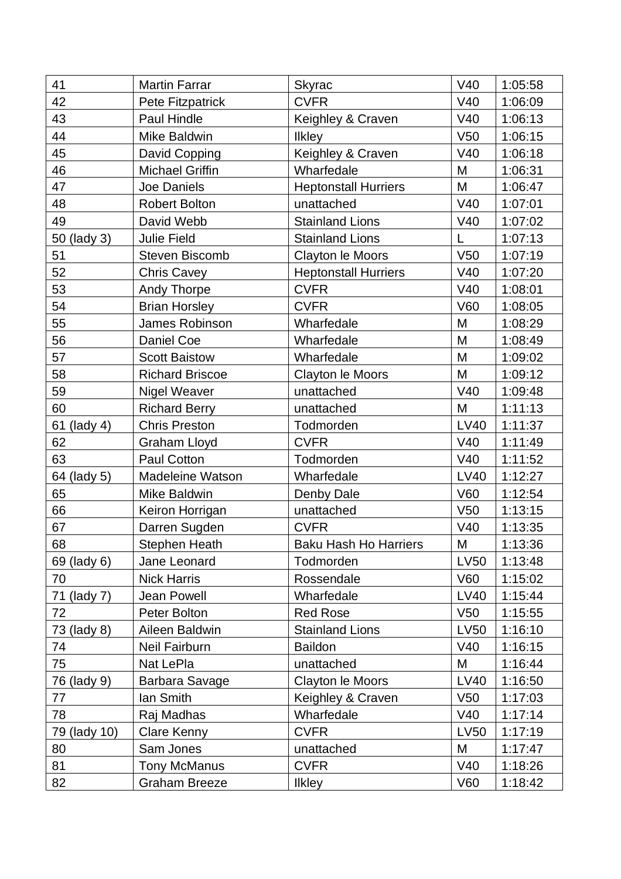| 41           | <b>Martin Farrar</b>    | Skyrac                       | V40             | 1:05:58 |
|--------------|-------------------------|------------------------------|-----------------|---------|
| 42           | Pete Fitzpatrick        | <b>CVFR</b>                  | V40             | 1:06:09 |
| 43           | Paul Hindle             | Keighley & Craven            | V40             | 1:06:13 |
| 44           | Mike Baldwin            | <b>Ilkley</b>                | V <sub>50</sub> | 1:06:15 |
| 45           | David Copping           | Keighley & Craven            | V40             | 1:06:18 |
| 46           | <b>Michael Griffin</b>  | Wharfedale                   | M               | 1:06:31 |
| 47           | Joe Daniels             | <b>Heptonstall Hurriers</b>  | M               | 1:06:47 |
| 48           | <b>Robert Bolton</b>    | unattached                   | V40             | 1:07:01 |
| 49           | David Webb              | <b>Stainland Lions</b>       | V40             | 1:07:02 |
| 50 (lady 3)  | Julie Field             | <b>Stainland Lions</b>       | L               | 1:07:13 |
| 51           | <b>Steven Biscomb</b>   | Clayton le Moors             | V <sub>50</sub> | 1:07:19 |
| 52           | <b>Chris Cavey</b>      | <b>Heptonstall Hurriers</b>  | V40             | 1:07:20 |
| 53           | <b>Andy Thorpe</b>      | <b>CVFR</b>                  | V40             | 1:08:01 |
| 54           | <b>Brian Horsley</b>    | <b>CVFR</b>                  | <b>V60</b>      | 1:08:05 |
| 55           | James Robinson          | Wharfedale                   | M               | 1:08:29 |
| 56           | Daniel Coe              | Wharfedale                   | M               | 1:08:49 |
| 57           | <b>Scott Baistow</b>    | Wharfedale                   | M               | 1:09:02 |
| 58           | <b>Richard Briscoe</b>  | Clayton le Moors             | M               | 1:09:12 |
| 59           | <b>Nigel Weaver</b>     | unattached                   | V40             | 1:09:48 |
| 60           | <b>Richard Berry</b>    | unattached                   | M               | 1:11:13 |
| 61 (lady 4)  | <b>Chris Preston</b>    | Todmorden                    | <b>LV40</b>     | 1:11:37 |
| 62           | <b>Graham Lloyd</b>     | <b>CVFR</b>                  | V40             | 1:11:49 |
| 63           | Paul Cotton             | Todmorden                    | V40             | 1:11:52 |
| 64 (lady 5)  | <b>Madeleine Watson</b> | Wharfedale                   | <b>LV40</b>     | 1:12:27 |
| 65           | Mike Baldwin            | Denby Dale                   | <b>V60</b>      | 1:12:54 |
| 66           | Keiron Horrigan         | unattached                   | V <sub>50</sub> | 1:13:15 |
| 67           | Darren Sugden           | <b>CVFR</b>                  | V40             | 1:13:35 |
| 68           | <b>Stephen Heath</b>    | <b>Baku Hash Ho Harriers</b> | M               | 1:13:36 |
| 69 (lady 6)  | Jane Leonard            | Todmorden                    | LV50            | 1:13:48 |
| 70           | <b>Nick Harris</b>      | Rossendale                   | V60             | 1:15:02 |
| 71 (lady 7)  | <b>Jean Powell</b>      | Wharfedale                   | <b>LV40</b>     | 1:15:44 |
| 72           | Peter Bolton            | <b>Red Rose</b>              | V <sub>50</sub> | 1:15:55 |
| 73 (lady 8)  | Aileen Baldwin          | <b>Stainland Lions</b>       | LV50            | 1:16:10 |
| 74           | <b>Neil Fairburn</b>    | <b>Baildon</b>               | V40             | 1:16:15 |
| 75           | Nat LePla               | unattached                   | M               | 1:16:44 |
| 76 (lady 9)  | Barbara Savage          | Clayton le Moors             | <b>LV40</b>     | 1:16:50 |
| 77           | lan Smith               | Keighley & Craven            | V <sub>50</sub> | 1:17:03 |
| 78           | Raj Madhas              | Wharfedale                   | V40             | 1:17:14 |
| 79 (lady 10) | Clare Kenny             | <b>CVFR</b>                  | <b>LV50</b>     | 1:17:19 |
| 80           | Sam Jones               | unattached                   | M               | 1:17:47 |
| 81           | <b>Tony McManus</b>     | <b>CVFR</b>                  | V40             | 1:18:26 |
| 82           | <b>Graham Breeze</b>    | <b>Ilkley</b>                | <b>V60</b>      | 1:18:42 |